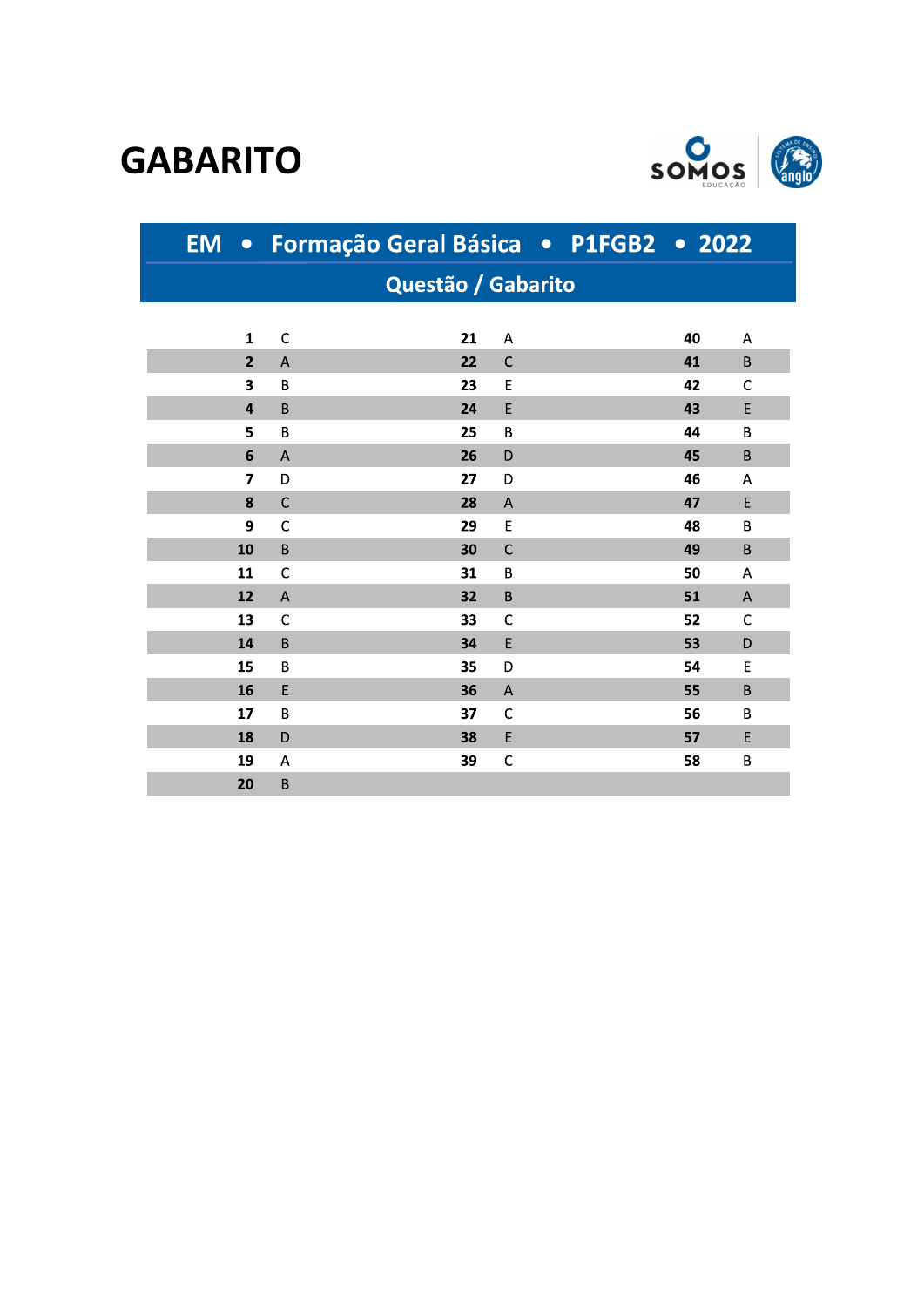## **GABARITO**



|                    | EM · Formação Geral Básica · P1FGB2 · 2022 |    |              |  |    |              |
|--------------------|--------------------------------------------|----|--------------|--|----|--------------|
| Questão / Gabarito |                                            |    |              |  |    |              |
|                    |                                            |    |              |  |    |              |
| 1                  | $\mathsf{C}$                               | 21 | A            |  | 40 | A            |
| $\overline{2}$     | A                                          | 22 | $\mathsf{C}$ |  | 41 | B            |
| 3                  | B                                          | 23 | E            |  | 42 | $\mathsf{C}$ |
| $\overline{4}$     | $\sf B$                                    | 24 | E            |  | 43 | E            |
| 5                  | B                                          | 25 | B            |  | 44 | B            |
| 6                  | A                                          | 26 | D            |  | 45 | B            |
| $\overline{7}$     | D                                          | 27 | D            |  | 46 | A            |
| 8                  | $\mathsf{C}$                               | 28 | A            |  | 47 | E            |
| 9                  | $\mathsf{C}$                               | 29 | E            |  | 48 | B            |
| 10                 | B                                          | 30 | $\mathsf{C}$ |  | 49 | $\mathsf B$  |
| 11                 | $\mathsf{C}$                               | 31 | B            |  | 50 | A            |
| 12                 | A                                          | 32 | B            |  | 51 | $\mathsf A$  |
| 13                 | C                                          | 33 | C            |  | 52 | C            |
| 14                 | B                                          | 34 | E            |  | 53 | D            |
| 15                 | B                                          | 35 | D            |  | 54 | E            |
| 16                 | E                                          | 36 | A            |  | 55 | B            |
| 17                 | B                                          | 37 | $\mathsf{C}$ |  | 56 | B            |
| 18                 | D                                          | 38 | E            |  | 57 | E            |
| 19                 | Α                                          | 39 | $\mathsf{C}$ |  | 58 | B            |
| 20                 | B                                          |    |              |  |    |              |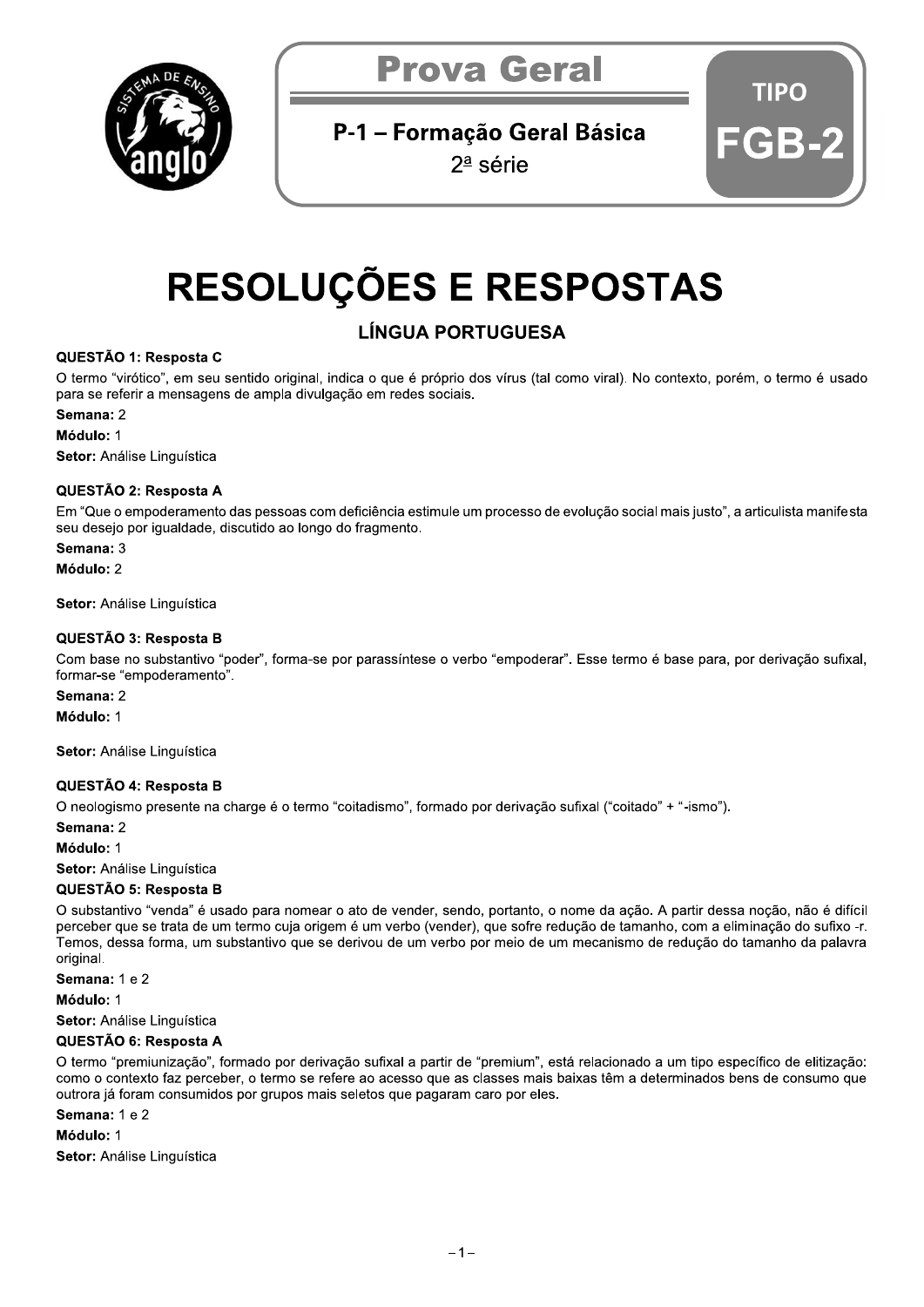

## P-1 - Formação Geral Básica

 $2^{\underline{a}}$  série

# TIPO

# **RESOLUÇÕES E RESPOSTAS**

## **LÍNGUA PORTUGUESA**

#### QUESTÃO 1: Resposta C

O termo "virótico", em seu sentido original, indica o que é próprio dos vírus (tal como viral). No contexto, porém, o termo é usado para se referir a mensagens de ampla divulgação em redes sociais.

#### Semana: 2

Módulo: 1

Setor: Análise Linguística

#### QUESTÃO 2: Resposta A

Em "Que o empoderamento das pessoas com deficiência estimule um processo de evolução social mais justo", a articulista manifesta seu desejo por igualdade, discutido ao longo do fragmento.

#### Semana: 3

Módulo: 2

Setor: Análise Linguística

#### QUESTÃO 3: Resposta B

Com base no substantivo "poder", forma-se por parassíntese o verbo "empoderar". Esse termo é base para, por derivação sufixal, formar-se "empoderamento".

#### Semana: 2

Módulo: 1

Setor: Análise Linguística

#### QUESTÃO 4: Resposta B

O neologismo presente na charge é o termo "coitadismo", formado por derivação sufixal ("coitado" + "-ismo").

#### Semana: 2

Módulo: 1

Setor: Análise Linguística

#### QUESTÃO 5: Resposta B

O substantivo "venda" é usado para nomear o ato de vender, sendo, portanto, o nome da ação. A partir dessa noção, não é difícil perceber que se trata de um termo cuja origem é um verbo (vender), que sofre redução de tamanho, com a eliminação do sufixo -r. Temos, dessa forma, um substantivo que se derivou de um verbo por meio de um mecanismo de redução do tamanho da palavra original.

Semana: 1 e 2

Módulo: 1

Setor: Análise Linguística

#### QUESTÃO 6: Resposta A

O termo "premiunização", formado por derivação sufixal a partir de "premium", está relacionado a um tipo específico de elitização: como o contexto faz perceber, o termo se refere ao acesso que as classes mais baixas têm a determinados bens de consumo que outrora já foram consumidos por grupos mais seletos que pagaram caro por eles.

#### Semana: 1 e 2

Módulo: 1

Setor: Análise Linguística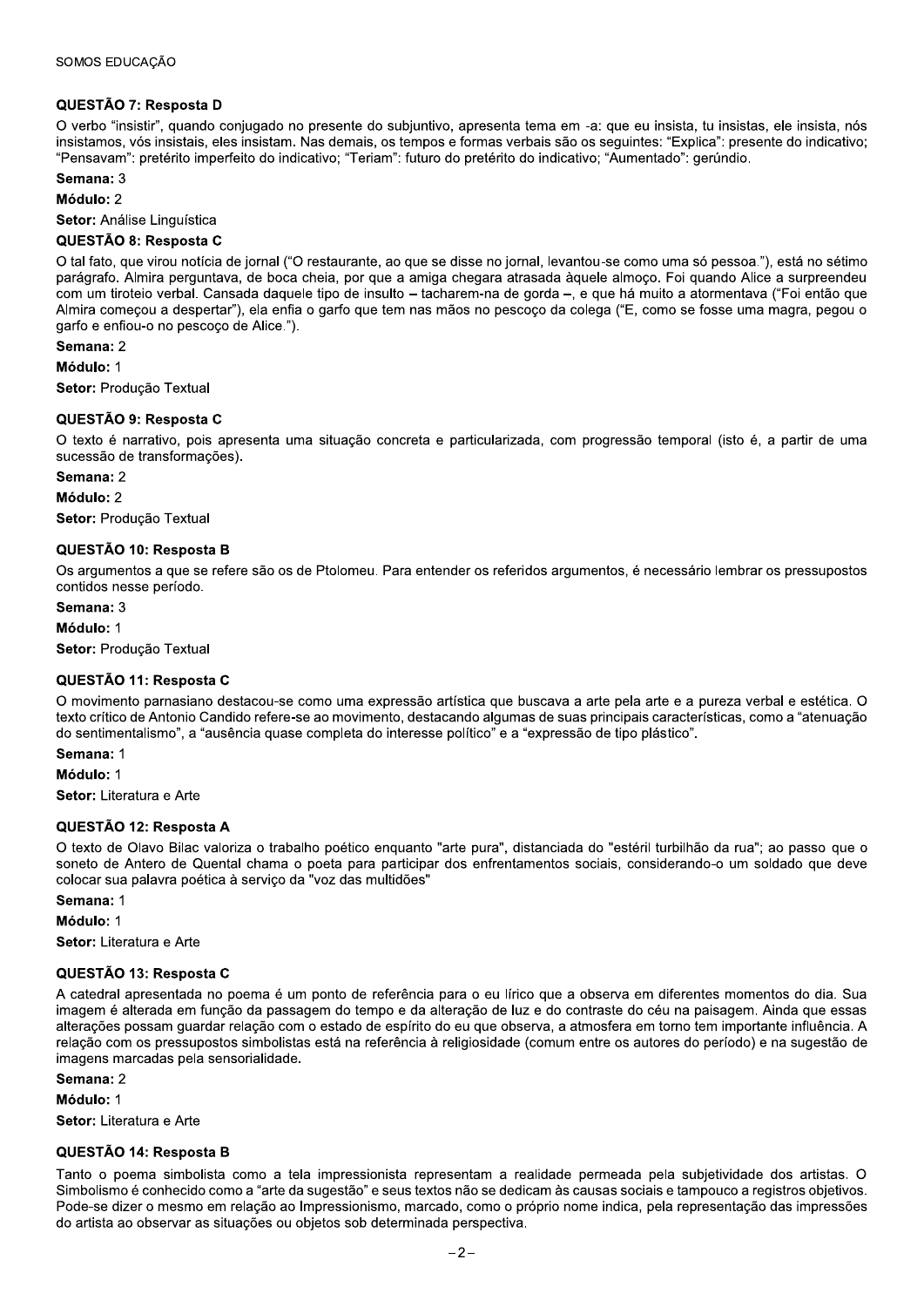#### QUESTÃO 7: Resposta D

O verbo "insistir", quando conjugado no presente do subjuntivo, apresenta tema em -a: que eu insista, tu insistas, ele insista, nós insistamos, vós insistais, eles insistam. Nas demais, os tempos e formas verbais são os seguintes: "Explica": presente do indicativo; "Pensavam": pretérito imperfeito do indicativo; "Teriam": futuro do pretérito do indicativo; "Aumentado": gerúndio.

Semana: 3

Módulo: 2

Setor: Análise Linguística

#### QUESTÃO 8: Resposta C

O tal fato, que virou notícia de jornal ("O restaurante, ao que se disse no jornal, levantou-se como uma só pessoa."), está no sétimo parágrafo. Almira perguntava, de boca cheia, por que a amiga chegara atrasada àquele almoço. Foi quando Alice a surpreendeu com um tiroteio verbal. Cansada daquele tipo de insulto - tacharem-na de gorda -, e que há muito a atormentava ("Foi então que Almira comecou a despertar"), ela enfia o garfo que tem nas mãos no pescoco da colega ("E, como se fosse uma magra, pegou o garfo e enfiou-o no pescoço de Alice.").

Semana: 2

Módulo: 1

Setor: Producão Textual

#### QUESTÃO 9: Resposta C

O texto é narrativo, pois apresenta uma situação concreta e particularizada, com progressão temporal (isto é, a partir de uma sucessão de transformações).

#### Semana: 2

Módulo: 2

Setor: Produção Textual

#### QUESTÃO 10: Resposta B

Os argumentos a que se refere são os de Ptolomeu. Para entender os referidos argumentos, é necessário lembrar os pressupostos contidos nesse período.

Semana: 3

Módulo: 1

Setor: Produção Textual

#### QUESTÃO 11: Resposta C

O movimento parnasiano destacou-se como uma expressão artística que buscava a arte pela arte e a pureza verbal e estética. O texto crítico de Antonio Candido refere-se ao movimento, destacando algumas de suas principais características, como a "atenuação do sentimentalismo", a "ausência quase completa do interesse político" e a "expressão de tipo plástico".

Semana: 1

Módulo: 1

Setor: Literatura e Arte

#### QUESTÃO 12: Resposta A

O texto de Olavo Bilac valoriza o trabalho poético enquanto "arte pura", distanciada do "estéril turbilhão da rua"; ao passo que o soneto de Antero de Quental chama o poeta para participar dos enfrentamentos sociais, considerando-o um soldado que deve colocar sua palavra poética à serviço da "voz das multidões"

Semana: 1

Módulo: 1

Setor: Literatura e Arte

#### QUESTÃO 13: Resposta C

A catedral apresentada no poema é um ponto de referência para o eu lírico que a observa em diferentes momentos do dia. Sua imagem é alterada em função da passagem do tempo e da alteração de luz e do contraste do céu na paisagem. Ainda que essas alterações possam guardar relação com o estado de espírito do eu que observa, a atmosfera em torno tem importante influência. A relação com os pressupostos simbolistas está na referência à religiosidade (comum entre os autores do período) e na sugestão de imagens marcadas pela sensorialidade.

Semana: 2

Módulo: 1

Setor: Literatura e Arte

#### QUESTÃO 14: Resposta B

Tanto o poema simbolista como a tela impressionista representam a realidade permeada pela subjetividade dos artistas. O Simbolismo é conhecido como a "arte da sugestão" e seus textos não se dedicam às causas sociais e tampouco a registros objetivos. Pode-se dizer o mesmo em relação ao Impressionismo, marcado, como o próprio nome indica, pela representação das impressões do artista ao observar as situações ou objetos sob determinada perspectiva.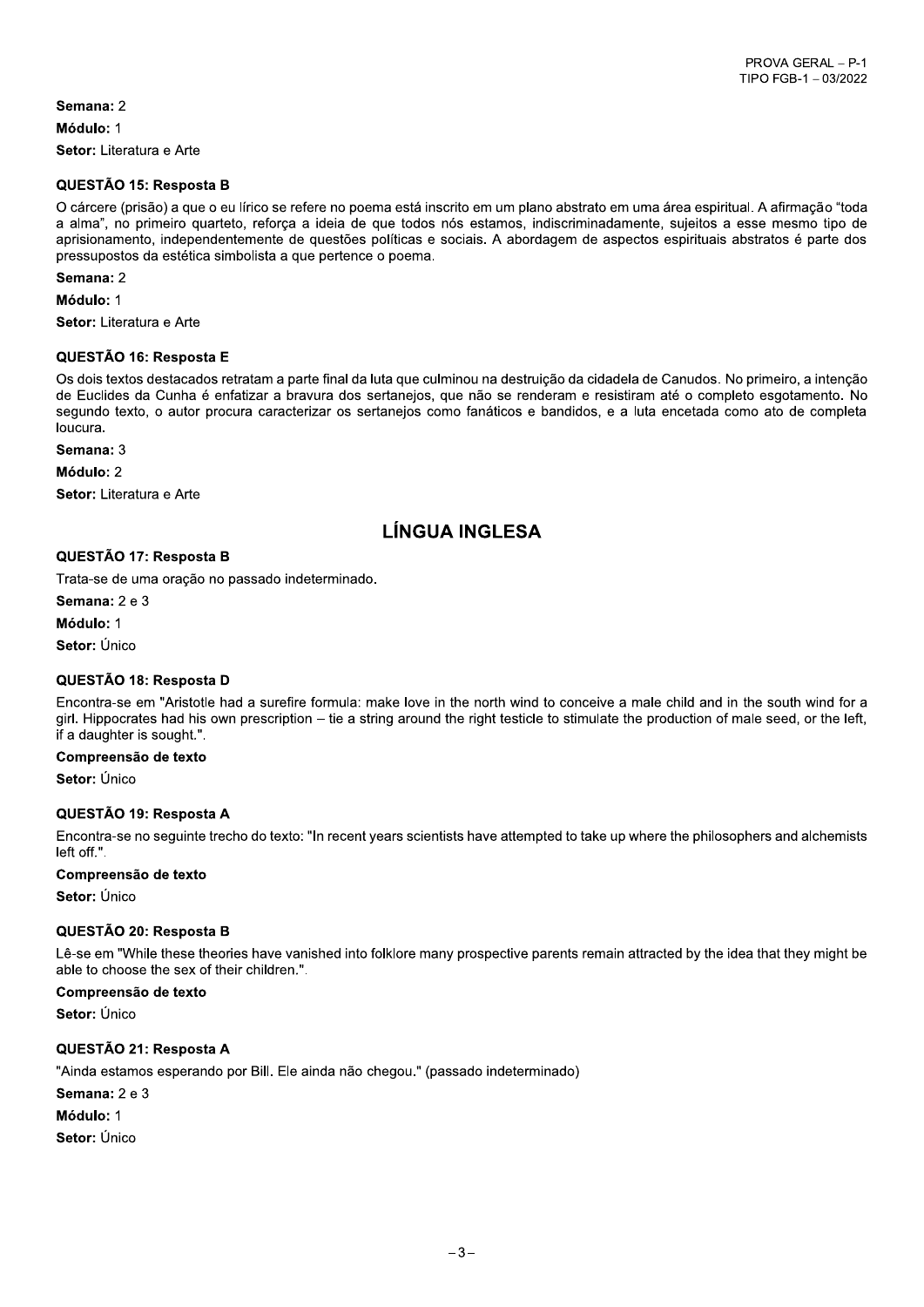Semana: 2 Módulo: 1 Setor: Literatura e Arte

#### QUESTÃO 15: Resposta B

O cárcere (prisão) a que o eu lírico se refere no poema está inscrito em um plano abstrato em uma área espiritual. A afirmação "toda a alma", no primeiro quarteto, reforça a ideia de que todos nós estamos, indiscriminadamente, sujeitos a esse mesmo tipo de aprisionamento, independentemente de questões políticas e sociais. A abordagem de aspectos espirituais abstratos é parte dos pressupostos da estética simbolista a que pertence o poema.

Semana: 2

Módulo: 1

Setor: Literatura e Arte

#### QUESTÃO 16: Resposta E

Os dois textos destacados retratam a parte final da luta que culminou na destruição da cidadela de Canudos. No primeiro, a intenção de Euclides da Cunha é enfatizar a bravura dos sertanejos, que não se renderam e resistiram até o completo esgotamento. No segundo texto, o autor procura caracterizar os sertanejos como fanáticos e bandidos, e a luta encetada como ato de completa loucura

Semana: 3

Módulo: 2

Setor: Literatura e Arte

## **LÍNGUA INGLESA**

#### QUESTÃO 17: Resposta B

Trata-se de uma oração no passado indeterminado.

Semana: 2 e 3

Módulo: 1

Setor: Único

#### QUESTÃO 18: Resposta D

Encontra-se em "Aristotle had a surefire formula: make love in the north wind to conceive a male child and in the south wind for a girl. Hippocrates had his own prescription – tie a string around the right testicle to stimulate the production of male seed, or the left, if a daughter is sought.".

#### Compreensão de texto

Setor: Único

#### QUESTÃO 19: Resposta A

Encontra-se no seguinte trecho do texto: "In recent years scientists have attempted to take up where the philosophers and alchemists left off.".

#### Compreensão de texto

Setor: Único

#### QUESTÃO 20: Resposta B

Lê-se em "While these theories have vanished into folklore many prospective parents remain attracted by the idea that they might be able to choose the sex of their children.".

Compreensão de texto

Setor: Único

#### QUESTÃO 21: Resposta A

"Ainda estamos esperando por Bill. Ele ainda não chegou." (passado indeterminado)

Semana: 2 e 3

Módulo: 1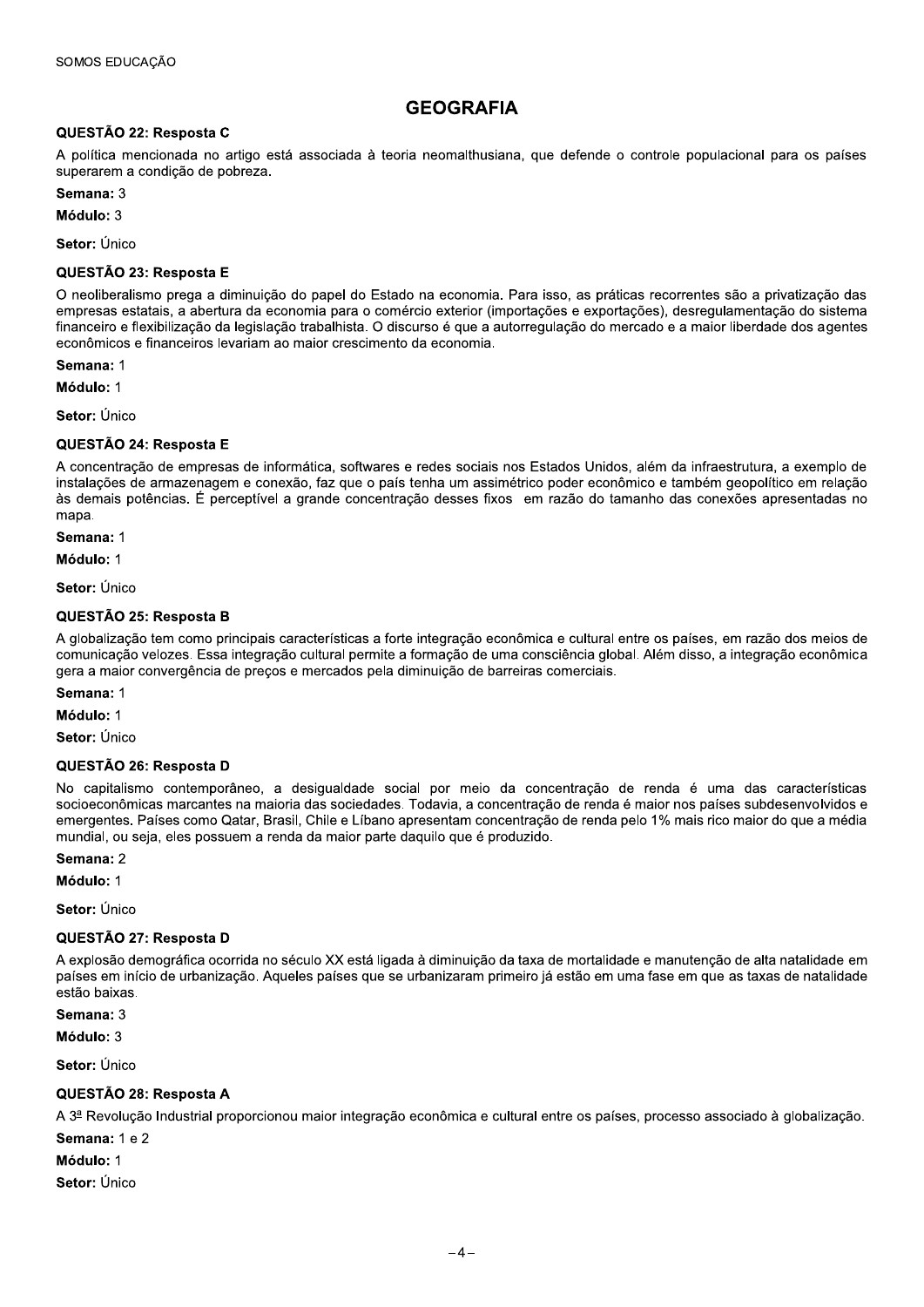## **GEOGRAFIA**

#### QUESTÃO 22: Resposta C

A política mencionada no artigo está associada à teoria neomalthusiana, que defende o controle populacional para os países superarem a condição de pobreza.

Semana: 3

Módulo: 3

Setor: Único

#### QUESTÃO 23: Resposta E

O neoliberalismo prega a diminuição do papel do Estado na economia. Para isso, as práticas recorrentes são a privatização das empresas estatais, a abertura da economia para o comércio exterior (importações e exportações), desregulamentação do sistema financeiro e flexibilização da legislação trabalhista. O discurso é que a autorregulação do mercado e a maior liberdade dos agentes econômicos e financeiros levariam ao maior crescimento da economia.

Semana: 1

Módulo: 1

Setor: Único

#### QUESTÃO 24: Resposta E

A concentração de empresas de informática, softwares e redes sociais nos Estados Unidos, além da infraestrutura, a exemplo de instalações de armazenagem e conexão, faz que o país tenha um assimétrico poder econômico e também geopolítico em relação às demais potências. É perceptível a grande concentração desses fixos em razão do tamanho das conexões apresentadas no mapa.

Semana: 1

Módulo: 1

Setor: Único

#### QUESTÃO 25: Resposta B

A globalização tem como principais características a forte integração econômica e cultural entre os países, em razão dos meios de comunicação velozes. Essa integração cultural permite a formação de uma consciência global. Além disso, a integração econômica gera a maior convergência de preços e mercados pela diminuição de barreiras comerciais.

Semana: 1

Módulo: 1

Setor: Único

#### QUESTÃO 26: Resposta D

No capitalismo contemporâneo, a desigualdade social por meio da concentração de renda é uma das características socioeconômicas marcantes na maioria das sociedades. Todavia, a concentração de renda é maior nos países subdesenvolvidos e emergentes. Países como Qatar, Brasil, Chile e Líbano apresentam concentração de renda pelo 1% mais rico maior do que a média mundial, ou seja, eles possuem a renda da maior parte daquilo que é produzido.

Semana: 2

Módulo: 1

Setor: Único

#### QUESTÃO 27: Resposta D

A explosão demográfica ocorrida no século XX está ligada à diminuição da taxa de mortalidade e manutenção de alta natalidade em países em início de urbanização. Aqueles países que se urbanizaram primeiro já estão em uma fase em que as taxas de natalidade estão baixas.

Semana: 3

Módulo: 3

Setor: Único

#### QUESTÃO 28: Resposta A

A 3ª Revolução Industrial proporcionou maior integração econômica e cultural entre os países, processo associado à globalização.

Semana: 1 e 2

Módulo: 1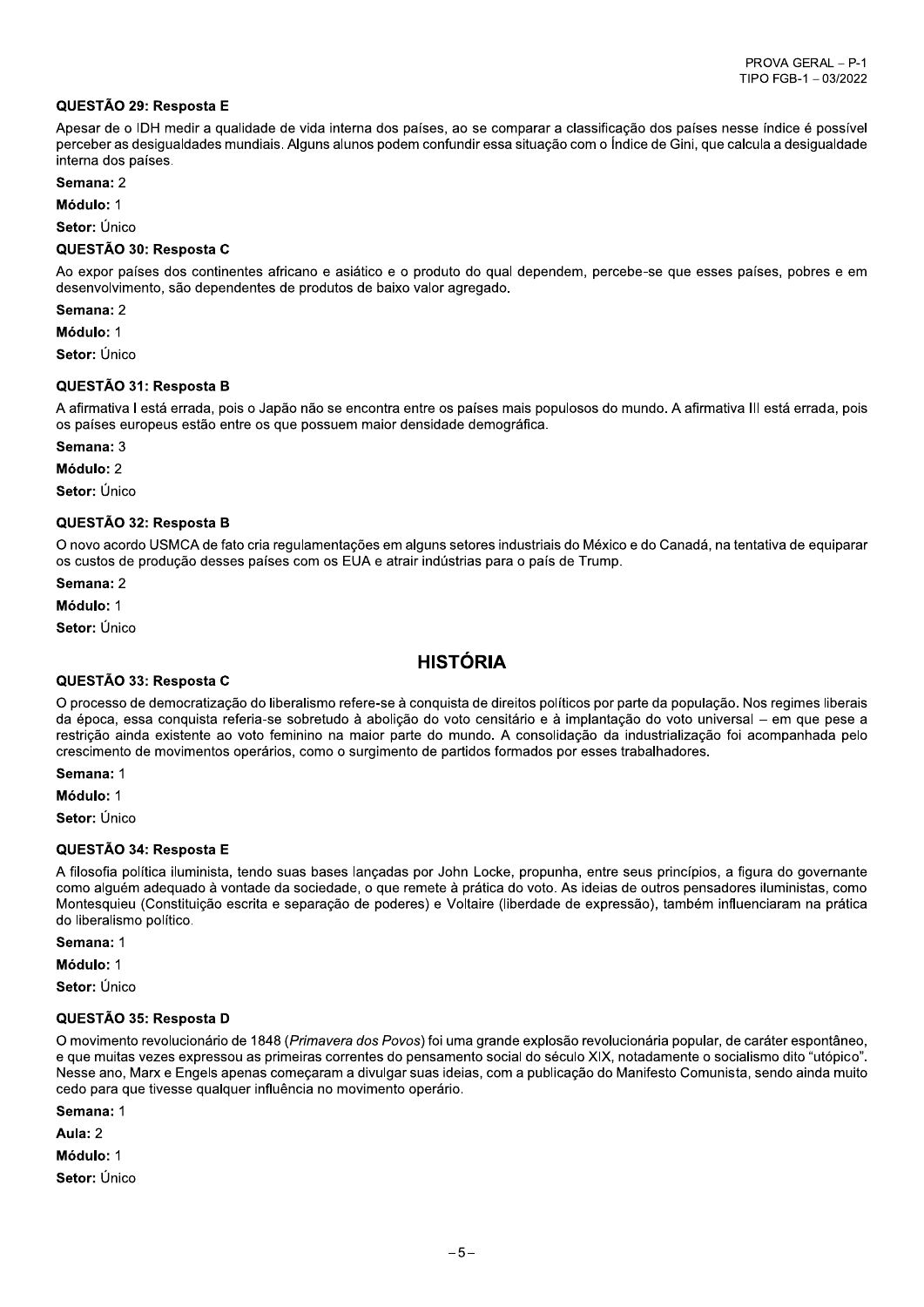#### QUESTÃO 29: Resposta E

Apesar de o IDH medir a qualidade de vida interna dos países, ao se comparar a classificação dos países nesse índice é possível perceber as desigualdades mundiais. Alguns alunos podem confundir essa situação com o Índice de Gini, que calcula a desigualdade interna dos países.

Semana: 2

Módulo: 1

Setor: Único

#### QUESTÃO 30: Resposta C

Ao expor países dos continentes africano e asiático e o produto do qual dependem, percebe-se que esses países, pobres e em desenvolvimento, são dependentes de produtos de baixo valor agregado.

Semana: 2

Módulo: 1

Setor: Único

#### QUESTÃO 31: Resposta B

A afirmativa I está errada, pois o Japão não se encontra entre os países mais populosos do mundo. A afirmativa III está errada, pois os países europeus estão entre os que possuem maior densidade demográfica.

Semana: 3

Módulo: 2

Setor: Único

#### QUESTÃO 32: Resposta B

O novo acordo USMCA de fato cria regulamentações em alguns setores industriais do México e do Canadá, na tentativa de eguiparar os custos de produção desses países com os EUA e atrair indústrias para o país de Trump.

Semana: 2

Módulo: 1

Setor: Único

## **HISTÓRIA**

#### QUESTÃO 33: Resposta C

O processo de democratização do liberalismo refere-se à conquista de direitos políticos por parte da população. Nos regimes liberais da época, essa conquista referia-se sobretudo à abolicão do voto censitário e à implantação do voto universal – em que pese a restrição ainda existente ao voto feminino na maior parte do mundo. A consolidação da industrialização foi acompanhada pelo crescimento de movimentos operários, como o surgimento de partidos formados por esses trabalhadores.

Semana: 1

Módulo: 1

Setor: Único

#### QUESTÃO 34: Resposta E

A filosofia política iluminista, tendo suas bases lancadas por John Locke, propunha, entre seus princípios, a figura do governante como alguém adeguado à vontade da sociedade, o que remete à prática do voto. As ideias de outros pensadores iluministas, como Montesquieu (Constituição escrita e separação de poderes) e Voltaire (liberdade de expressão), também influenciaram na prática do liberalismo político.

Semana: 1

Módulo: 1

Setor: Único

#### QUESTÃO 35: Resposta D

O movimento revolucionário de 1848 (Primavera dos Povos) foi uma grande explosão revolucionária popular, de caráter espontâneo, e que muitas vezes expressou as primeiras correntes do pensamento social do século XIX, notadamente o socialismo dito "utópico". Nesse ano, Marx e Engels apenas começaram a divulgar suas ideias, com a publicação do Manifesto Comunista, sendo ainda muito cedo para que tivesse qualquer influência no movimento operário.

Semana: 1 Aula: 2 Módulo: 1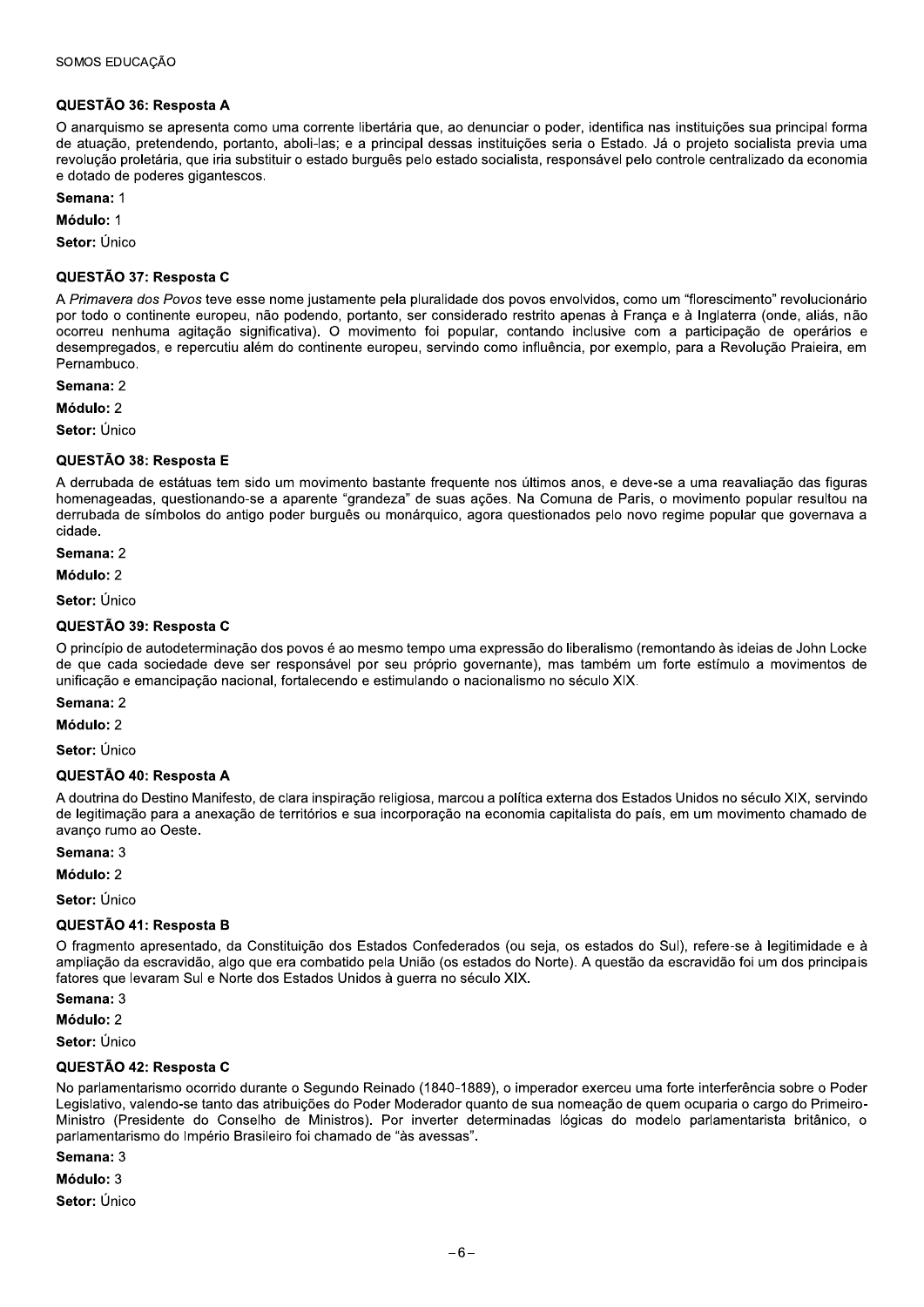#### QUESTÃO 36: Resposta A

O anarquismo se apresenta como uma corrente libertária que, ao denunciar o poder, identifica nas instituições sua principal forma de atuação, pretendendo, portanto, aboli-las; e a principal dessas instituições seria o Estado. Já o projeto socialista previa uma revolução proletária, que iria substituir o estado burguês pelo estado socialista, responsável pelo controle centralizado da economia e dotado de poderes gigantescos.

Semana: 1

Módulo: 1

Setor: Único

#### QUESTÃO 37: Resposta C

A Primavera dos Povos teve esse nome justamente pela pluralidade dos povos envolvidos, como um "florescimento" revolucionário por todo o continente europeu, não podendo, portanto, ser considerado restrito apenas à França e à Inglaterra (onde, aliás, não ocorreu nenhuma agitação significativa). O movimento foi popular, contando inclusive com a participação de operários e desempregados, e repercutiu além do continente europeu, servindo como influência, por exemplo, para a Revolução Praieira, em Pernambuco.

Semana: 2

Módulo: 2

Setor: Único

#### QUESTÃO 38: Resposta E

A derrubada de estátuas tem sido um movimento bastante frequente nos últimos anos, e deve-se a uma reavaliação das figuras homenageadas, questionando-se a aparente "grandeza" de suas ações. Na Comuna de Paris, o movimento popular resultou na derrubada de símbolos do antigo poder burguês ou monárguico, agora guestionados pelo novo regime popular que governava a cidade.

Semana: 2

Módulo: 2

Setor: Único

#### QUESTÃO 39: Resposta C

O princípio de autodeterminação dos povos é ao mesmo tempo uma expressão do liberalismo (remontando às ideias de John Locke de que cada sociedade deve ser responsável por seu próprio governante), mas também um forte estímulo a movimentos de unificação e emancipação nacional, fortalecendo e estimulando o nacionalismo no século XIX.

#### Semana: 2

Módulo: 2

Setor: Único

#### QUESTÃO 40: Resposta A

A doutrina do Destino Manifesto, de clara inspiração religiosa, marcou a política externa dos Estados Unidos no século XIX, servindo de legitimação para a anexação de territórios e sua incorporação na economia capitalista do país, em um movimento chamado de avanço rumo ao Oeste.

Semana: 3

Módulo: 2

Setor: Único

#### QUESTÃO 41: Resposta B

O fragmento apresentado, da Constituição dos Estados Confederados (ou seja, os estados do Sul), refere-se à legitimidade e à ampliação da escravidão, algo que era combatido pela União (os estados do Norte). A questão da escravidão foi um dos principais fatores que levaram Sul e Norte dos Estados Unidos à querra no século XIX.

Semana: 3

Módulo: 2

Setor: Único

#### QUESTÃO 42: Resposta C

No parlamentarismo ocorrido durante o Segundo Reinado (1840-1889), o imperador exerceu uma forte interferência sobre o Poder Legislativo, valendo-se tanto das atribuições do Poder Moderador quanto de sua nomeação de quem ocuparia o cargo do Primeiro-Ministro (Presidente do Conselho de Ministros). Por inverter determinadas lógicas do modelo parlamentarista britânico, o parlamentarismo do Império Brasileiro foi chamado de "às avessas".

Semana: 3

Módulo: 3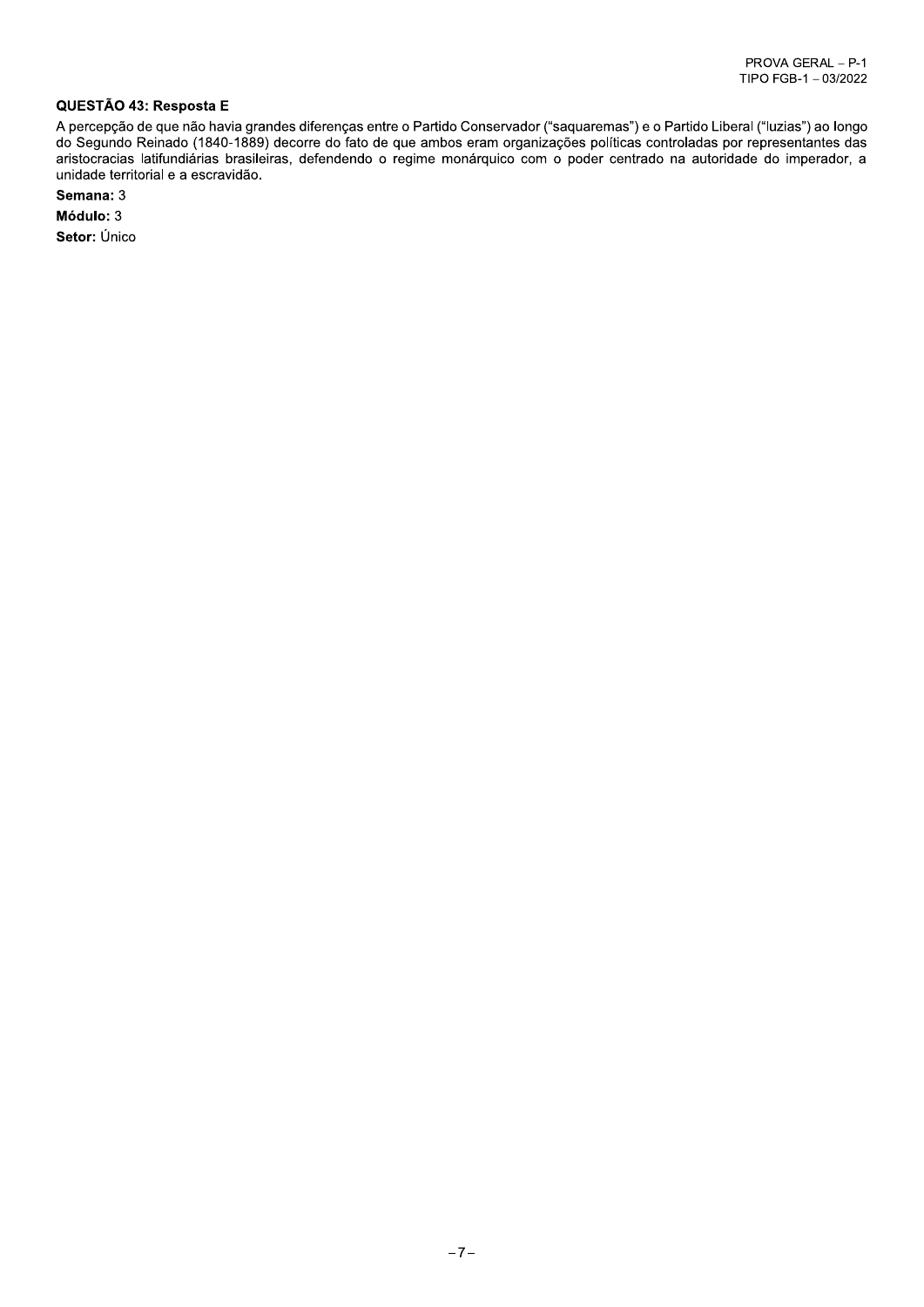#### QUESTÃO 43: Resposta E

A percepção de que não havia grandes diferenças entre o Partido Conservador ("saquaremas") e o Partido Liberal ("luzias") ao longo do Segundo Reinado (1840-1889) decorre do fato de que ambos eram organizações políticas controladas por representantes das aristocracias latifundiárias brasileiras, defendendo o regime monárquico com o poder centrado na autoridade do imperador, a unidade territorial e a escravidão.

Semana: 3

Módulo: 3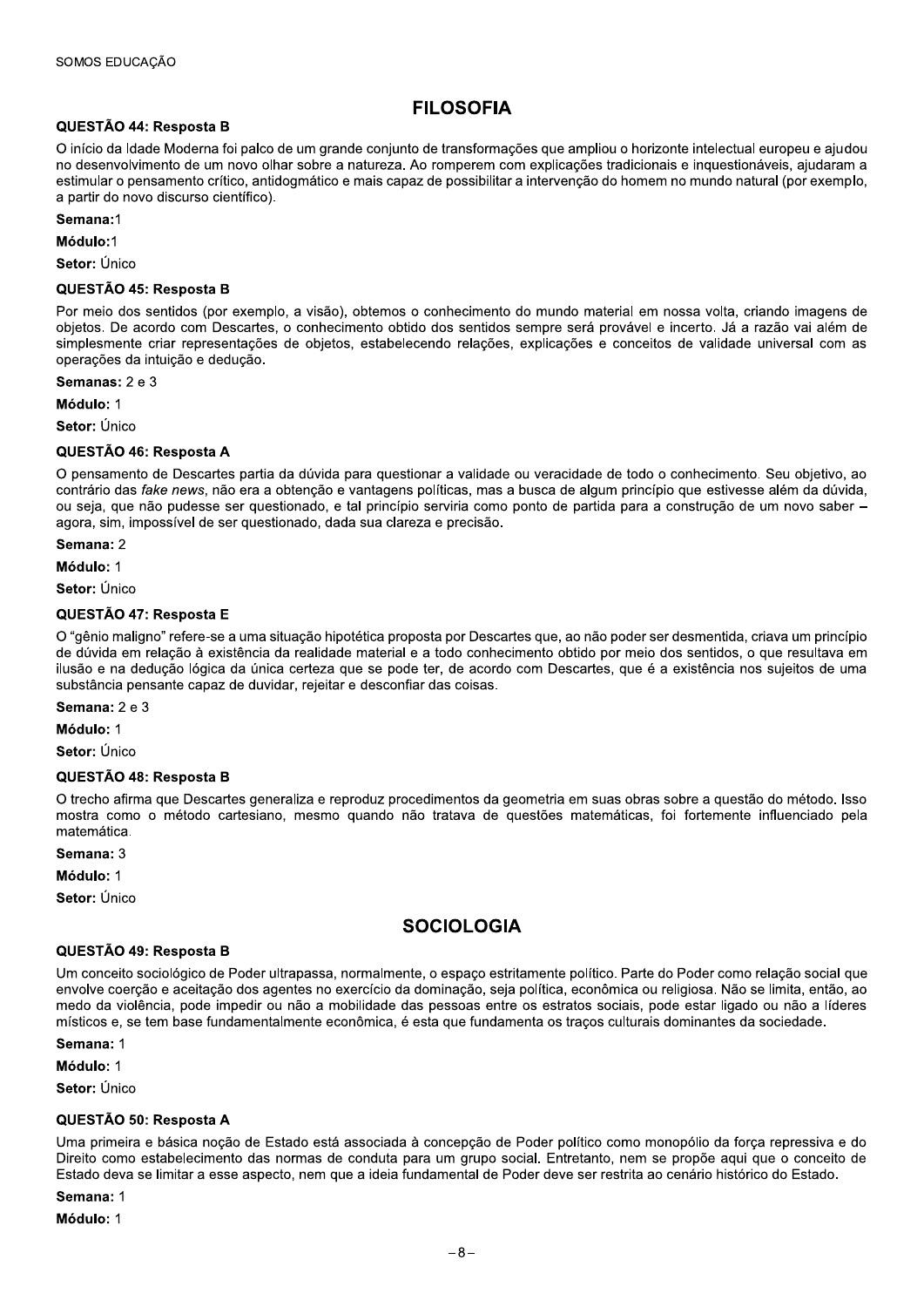## **FILOSOFIA**

#### QUESTÃO 44: Resposta B

O início da Idade Moderna foi palco de um grande conjunto de transformações que ampliou o horizonte intelectual europeu e ajudou no desenvolvimento de um novo olhar sobre a natureza. Ao romperem com explicações tradicionais e inquestionáveis, ajudaram a estimular o pensamento crítico, antidogmático e mais capaz de possibilitar a intervenção do homem no mundo natural (por exemplo, a partir do novo discurso científico).

#### $S<sub>emana</sub>1$

Módulo:1

Setor: Único

#### QUESTÃO 45: Resposta B

Por meio dos sentidos (por exemplo, a visão), obtemos o conhecimento do mundo material em nossa volta, criando imagens de objetos. De acordo com Descartes, o conhecimento obtido dos sentidos sempre será provável e incerto. Já a razão vai além de simplesmente criar representações de objetos, estabelecendo relações, explicações e conceitos de validade universal com as operações da intuição e dedução.

Semanas: 2 e 3

Módulo: 1

Setor: Único

#### QUESTÃO 46: Resposta A

O pensamento de Descartes partia da dúvida para questionar a validade ou veracidade de todo o conhecimento. Seu objetivo, ao contrário das fake news, não era a obtenção e vantagens políticas, mas a busca de algum princípio que estivesse além da dúvida, ou seja, que não pudesse ser questionado, e tal princípio serviria como ponto de partida para a construção de um novo saber – agora, sim, impossível de ser questionado, dada sua clareza e precisão.

Semana: 2

Módulo: 1

Setor: Único

#### QUESTÃO 47: Resposta E

O "gênio maligno" refere-se a uma situação hipotética proposta por Descartes que, ao não poder ser desmentida, criava um princípio de dúvida em relação à existência da realidade material e a todo conhecimento obtido por meio dos sentidos, o que resultava em ilusão e na dedução lógica da única certeza que se pode ter, de acordo com Descartes, que é a existência nos sujeitos de uma substância pensante capaz de duvidar, rejeitar e desconfiar das coisas.

#### Semana: 2 e 3

Módulo: 1

Setor: Único

#### QUESTÃO 48: Resposta B

O trecho afirma que Descartes generaliza e reproduz procedimentos da geometria em suas obras sobre a questão do método. Isso mostra como o método cartesiano, mesmo quando não tratava de questões matemáticas, foi fortemente influenciado pela matemática.

Semana: 3

Módulo: 1

Setor: Único

## **SOCIOLOGIA**

#### QUESTÃO 49: Resposta B

Um conceito sociológico de Poder ultrapassa, normalmente, o espaço estritamente político. Parte do Poder como relação social que envolve coerção e aceitação dos agentes no exercício da dominação, seja política, econômica ou religiosa. Não se limita, então, ao medo da violência, pode impedir ou não a mobilidade das pessoas entre os estratos sociais, pode estar ligado ou não a líderes místicos e, se tem base fundamentalmente econômica, é esta que fundamenta os tracos culturais dominantes da sociedade.

Semana: 1

Módulo: 1

Setor: Único

#### QUESTÃO 50: Resposta A

Uma primeira e básica nocão de Estado está associada à concepção de Poder político como monopólio da forca repressiva e do Direito como estabelecimento das normas de conduta para um grupo social. Entretanto, nem se propõe aqui que o conceito de Estado deva se limitar a esse aspecto, nem que a ideia fundamental de Poder deve ser restrita ao cenário histórico do Estado.

Semana: 1

Módulo: 1